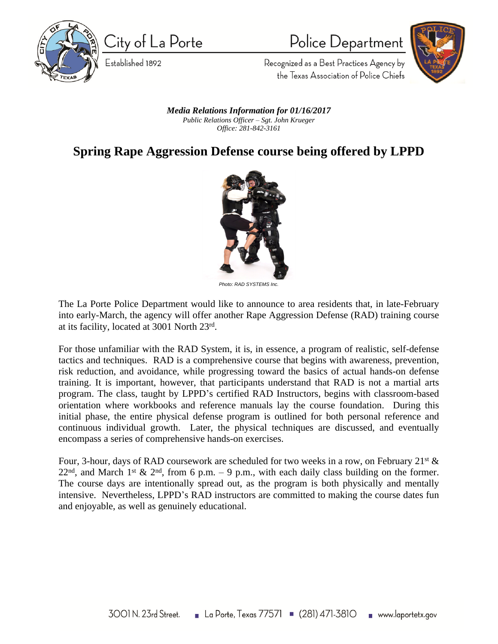

City of La Porte

Established 1892

Police Department



Recognized as a Best Practices Agency by the Texas Association of Police Chiefs

*Media Relations Information for 01/16/2017 Public Relations Officer – Sgt. John Krueger Office: 281-842-3161*

## **Spring Rape Aggression Defense course being offered by LPPD**



*Photo: RAD SYSTEMS Inc.*

The La Porte Police Department would like to announce to area residents that, in late-February into early-March, the agency will offer another Rape Aggression Defense (RAD) training course at its facility, located at 3001 North 23rd .

For those unfamiliar with the RAD System, it is, in essence, a program of realistic, self-defense tactics and techniques. RAD is a comprehensive course that begins with awareness, prevention, risk reduction, and avoidance, while progressing toward the basics of actual hands-on defense training. It is important, however, that participants understand that RAD is not a martial arts program. The class, taught by LPPD's certified RAD Instructors, begins with classroom-based orientation where workbooks and reference manuals lay the course foundation. During this initial phase, the entire physical defense program is outlined for both personal reference and continuous individual growth. Later, the physical techniques are discussed, and eventually encompass a series of comprehensive hands-on exercises.

Four, 3-hour, days of RAD coursework are scheduled for two weeks in a row, on February  $21^{st}$  &  $22<sup>nd</sup>$ , and March 1<sup>st</sup> & 2<sup>nd</sup>, from 6 p.m. – 9 p.m., with each daily class building on the former. The course days are intentionally spread out, as the program is both physically and mentally intensive. Nevertheless, LPPD's RAD instructors are committed to making the course dates fun and enjoyable, as well as genuinely educational.